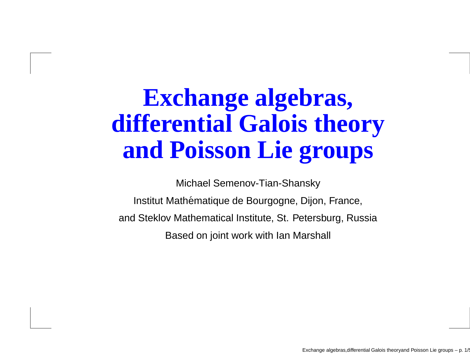# **Exchange algebras, differential Galois theory and Poisson Lie groups**

Michael Semenov-Tian-Shansky

Institut Mathématique de Bourgogne, Dijon, France, and Steklov Mathematical Institute, St. Petersburg, Russia

Based on joint work with Ian Marshall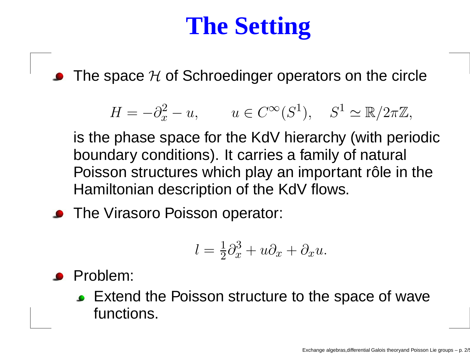# **The Setting**

The space  $H$  of Schroedinger operators on the circle

$$
H = -\partial_x^2 - u, \qquad u \in C^\infty(S^1), \quad S^1 \simeq \mathbb{R}/2\pi\mathbb{Z},
$$

is the phase space for the KdV hierarchy (with periodic boundary conditions). It carries <sup>a</sup> family of natural Poisson structures which play an important rôle in the Hamiltonian description of the KdV flows.

The Virasoro Poisson operator:

$$
l = \frac{1}{2}\partial_x^3 + u\partial_x + \partial_x u.
$$

- Problem:
	- **Extend the Poisson structure to the space of wave** functions.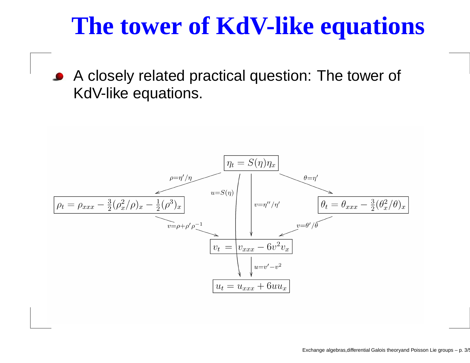### **The tower of KdV-like equations**

A closely related practical question: The tower of KdV-like equations.

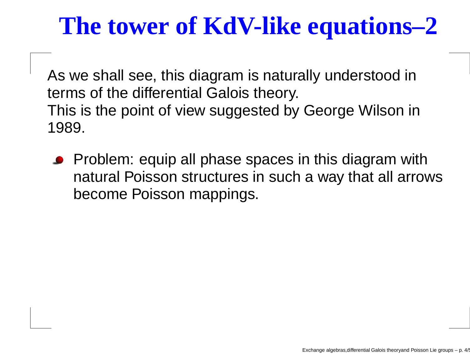# **The tower of KdV-like equations–2**

As we shall see, this diagram is naturally understood in terms of the differential Galois theory. This is the point of view suggested by George Wilson in 1989.

Problem: equip all phase spaces in this diagram with natural Poisson structures in such <sup>a</sup> way that all arrows become Poisson mappings.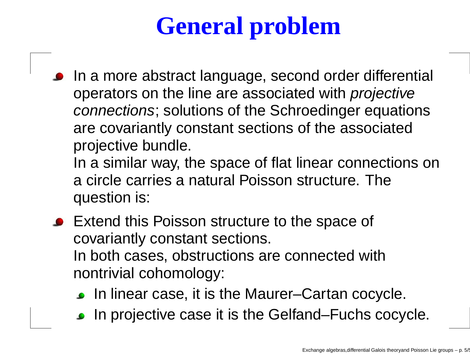# **General problem**

In <sup>a</sup> more abstract language, second order differential operators on the line are associated with *projective connections*; solutions of the Schroedinger equations are covariantly constant sections of the associated projective bundle.

In <sup>a</sup> similar way, the space of flat linear connections on a circle carries a natural Poisson structure. Thequestion is:

- **Extend this Poisson structure to the space of** covariantly constant sections. In both cases, obstructions are connected with nontrivial cohomology:
	- In linear case, it is the Maurer–Cartan cocycle.
	- In projective case it is the Gelfand–Fuchs cocycle.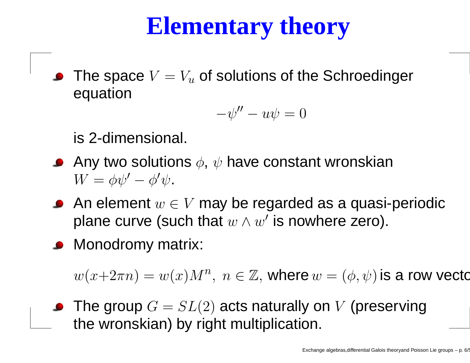# **Elementary theory**

The space  $V=V_u$  of solutions of the Schroedinger equation

$$
-\psi'' - u\psi = 0
$$

is 2-dimensional.

- Any two solutions  $\phi,\,\psi$  have constant wronskian  $W=\,$  $=\phi\psi'-\phi'\psi.$
- An element  $w\in V$  may be regarded as a quasi-periodic plane curve (such that  $w \wedge w'$  is nowhere zero).
- Monodromy matrix:

 $w(x+2\pi n) = w(x)M$  $n,\;n\in\mathbb{Z},\,\textsf{where}\,w=(\phi,\psi)$  is a row vectc

The group  $G=\,$  $S=SL(2)$  acts naturally on  $V$  (preserving the wronskian) by right multiplication.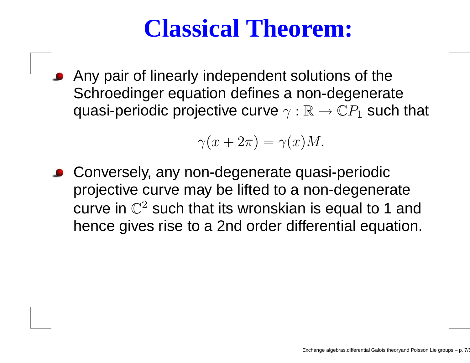# **Classical Theorem:**

Any pair of linearly independent solutions of the Schroedinger equation defines <sup>a</sup> non-degenerate quasi-periodic projective curve  $\gamma:\mathbb{R}\rightarrow\mathbb{C} P_1$  such that

$$
\gamma(x + 2\pi) = \gamma(x)M.
$$

■ Conversely, any non-degenerate quasi-periodic projective curve may be lifted to <sup>a</sup> non-degenerate curve in C  $^2$  such that its wronskian is equal to 1 and hence gives rise to <sup>a</sup> 2nd order differential equation.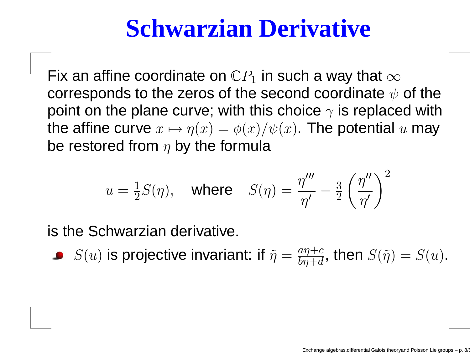# **Schwarzian Derivative**

Fix an affine coordinate on  $\mathbb{C}P_1$  in such a way that  $\infty$ corresponds to the zeros of the second coordinate  $\psi$  of the point on the plane curve; with this choice  $\gamma$  is replaced with the affine curve  $x \mapsto \eta(x) = \phi(x)/\psi(x).$  The potential  $u$  may be restored from  $\eta$  by the formula

$$
u = \frac{1}{2}S(\eta), \quad \text{where} \quad S(\eta) = \frac{\eta'''}{\eta'} - \frac{3}{2}\left(\frac{\eta''}{\eta'}\right)^2
$$

is the Schwarzian derivative.

 $S(u)$  is projective invariant: if  $\tilde{\eta} = \frac{a\eta+c}{b\eta+d}$ , then  $S(\tilde{\eta}) = S(u)$ .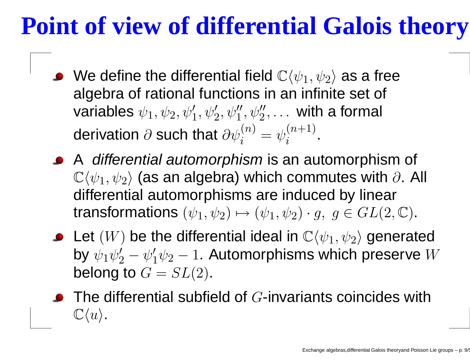# **Point of view of differential Galois theory**

- We define the differential field  $\mathbb{C}\langle \psi_1,\psi_2\rangle$  as a free algebra of rational functions in an infinite set of variables  $\psi_1, \psi_2, \psi_1', \psi_2', \psi_1'', \psi_2'', \ldots \,$  with a formal derivation  $\partial$  such that  $\partial \psi_i^{(n)} = \psi_i^{(n+1)}$ .
- A *differential automorphism* is an automorphism of  $\mathbb{C}\langle \psi_1,\psi_2\rangle$  (as an algebra) which commutes with  $\partial.$  All differential automorphisms are induced by linear transformations  $(\psi_1,\psi_2)\mapsto (\psi_1,\psi_2)\cdot g,\; g\in GL(2,\mathbb{C})$ .
- Let  $(W)$  be the differential ideal in  $\mathbb{C}\langle \psi_1,\psi_2\rangle$  generated by  $\psi_1 \psi_2' - \psi_1' \psi_2$  $-1$ . Automorphisms which preserve  $W$ belong to  $G=\,$  $= SL(2).$
- The differential subfield of  $G$ -invariants coincides with  $\mathbb{C}\langle u \rangle$  .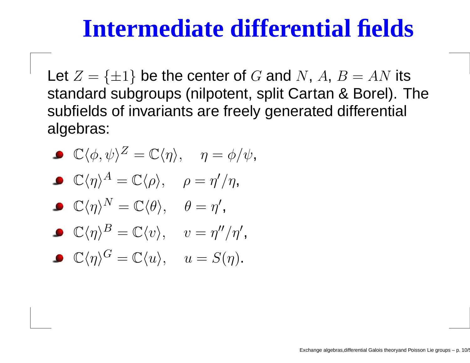# **Intermediate differential fields**

Let  $Z=\,$  $=\{\pm 1\}$  be the center of  $G$  and  $N,$   $A,$   $B=AN$  its standard subgroups (nilpotent, split Cartan & Borel). The subfields of invariants are freely generated differential algebras:

$$
\mathbb{C}\langle \phi, \psi \rangle^{Z} = \mathbb{C}\langle \eta \rangle, \quad \eta = \phi/\psi,
$$
  

$$
\mathbb{C}\langle \eta \rangle^{A} = \mathbb{C}\langle \rho \rangle, \quad \rho = \eta'/\eta,
$$
  

$$
\mathbb{C}\langle \eta \rangle^{N} = \mathbb{C}\langle \theta \rangle, \quad \theta = \eta',
$$
  

$$
\mathbb{C}\langle \eta \rangle^{B} = \mathbb{C}\langle \psi \rangle, \quad v = \eta''/\eta',
$$

$$
\bullet \ \mathbb{C}\langle \eta \rangle^G = \mathbb{C}\langle u \rangle, \quad u = S(\eta).
$$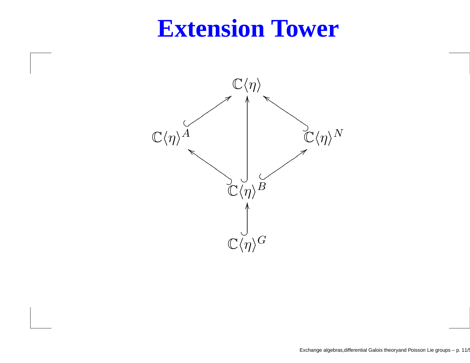## **Extension Tower**

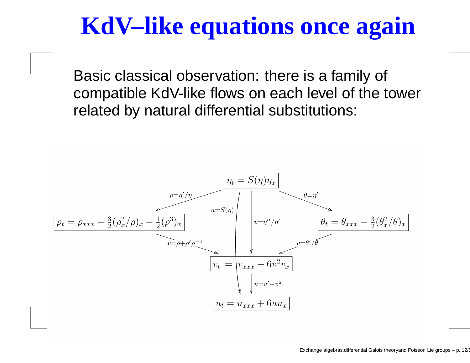# **KdV–like equations once again**

Basic classical observation: there is <sup>a</sup> family of compatible KdV-like flows on each level of the tower related by natural differential substitutions:

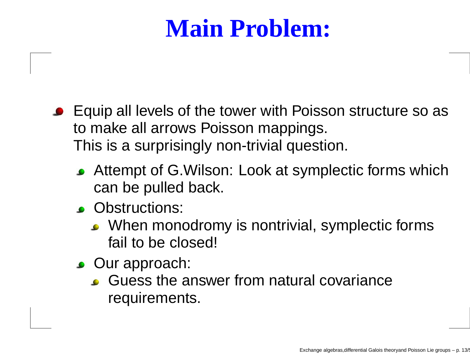# **Main Problem:**

- Equip all levels of the tower with Poisson structure so as to make all arrows Poisson mappings. This is <sup>a</sup> surprisingly non-trivial question.
	- Attempt of G.Wilson: Look at symplectic forms which can be pulled back.
	- **C** Obstructions:
		- When monodromy is nontrivial, symplectic forms fail to be closed!
	- Our approach:
		- Guess the answer from natural covariancerequirements.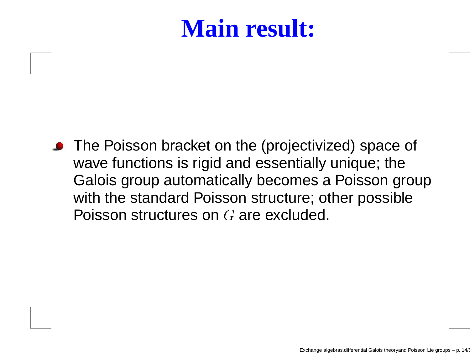# **Main result:**

The Poisson bracket on the (projectivized) space of wave functions is rigid and essentially unique; the Galois group automatically becomes <sup>a</sup> Poisson group with the standard Poisson structure; other possible Poisson structures on  $G$  are excluded.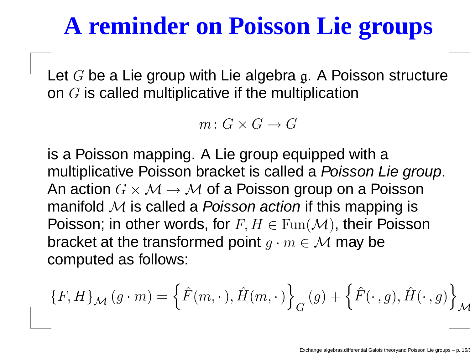# **A reminder on Poisson Lie groups**

Let  $G$  be a Lie group with Lie algebra  $\mathfrak g.$  A Poisson structure on  $G$  is called multiplicative if the multiplication

 $m\colon G\times G\to G$ 

is <sup>a</sup> Poisson mapping. A Lie group equipped with <sup>a</sup> multiplicative Poisson bracket is called <sup>a</sup> *Poisson Lie group*. An action  $G\times\mathcal{M}\to\mathcal{M}$  of a Poisson group on a Poisson manifold M is called <sup>a</sup> *Poisson action* if this mapping is Poisson; in other words, for  $F,H\in \operatorname{Fun}(\mathcal{M}),$  their Poisson bracket at the transformed point  $g\cdot m\in\mathcal{M}$  may be computed as follows:

$$
\left\{F,H\right\}_{\mathcal{M}}\left(g\cdot m\right)=\left\{\hat{F}(m,\cdot\,),\hat{H}(m,\cdot\,)\right\}_{G}(g)+\left\{\hat{F}(\cdot\,,g),\hat{H}(\cdot\,,g)\right\}_{\mathcal{M}}
$$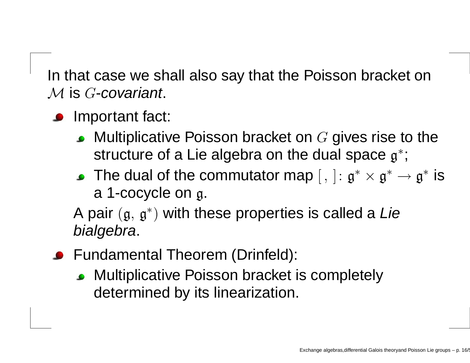In that case we shall also say that the Poisson bracket on M is G-*covariant*.

- Important fact:
	- Multiplicative Poisson bracket on  $G$  gives rise to the structure of a Lie algebra on the dual space  $\mathfrak{g}^*;$
	- The dual of the commutator map  $[ \, , \, ] \colon \mathfrak{g}^* \times \mathfrak{g}^* \to \mathfrak{g}^*$  is <sup>a</sup> 1-cocycle on g.

A pair ( $\mathfrak{g},\,\mathfrak{g}^*$ ) with these properties is called <sup>a</sup> *Lie bialgebra*.

- Fundamental Theorem (Drinfeld):
	- **Multiplicative Poisson bracket is completely** determined by its linearization.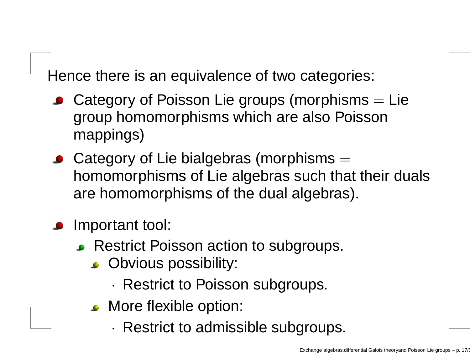Hence there is an equivalence of two categories:

- Category of Poisson Lie groups (morphisms  $=$  Lie group homomorphisms which are also Poisson mappings)
- Category of Lie bialgebras (morphisms = homomorphisms of Lie algebras such that their duals are homomorphisms of the dual algebras).
- Important tool:

·

- **Restrict Poisson action to subgroups.** 
	- **C** Obvious possibility:
		- $\cdot$  Restrict to Poisson subgroups.
	- **C** More flexible option:
		- ·Restrict to admissible subgroups.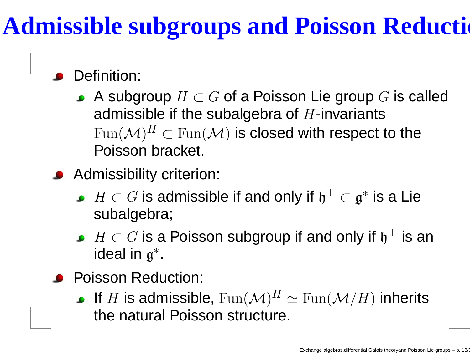# **Admissible subgroups and Poisson Reductio**

### Definition:

- A subgroup  $H \subset G$  of a Poisson Lie group G is called admissible if the subalgebra of  $H$ -invariants  $\text{Fun}(\mathcal{M})^H \subset \text{Fun}(\mathcal{M})$  is closed with respect to the Poisson bracket.
- **Admissibility criterion:** 
	- $H\subset G$  is admissible if and only if  $\mathfrak{h}^{\perp}\subset\mathfrak{g}^{*}$  is a Lie subalgebra;
	- $H\subset G$  is a Poisson subgroup if and only if  $\mathfrak{h}^{\perp}$  is an ideal in g<sup>∗</sup>.
- Poisson Reduction:
	- If  $H$  is admissible,  $\mathrm{Fun}(\mathcal{M})^H \simeq \mathrm{Fun}(\mathcal{M}/H)$  inherits the natural Poisson structure.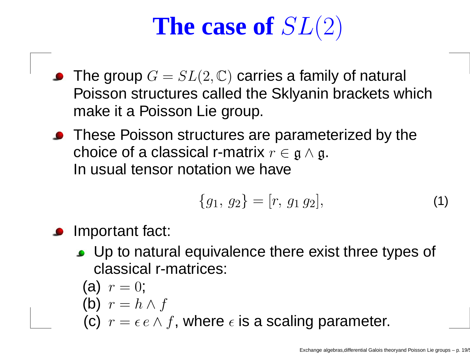# **The case of** SL(2)

- The group  $G = SL(2, \mathbb{C})$  carries a family of natural Poisson structures called the Sklyanin brackets which make it <sup>a</sup> Poisson Lie group.
- **•** These Poisson structures are parameterized by the choice of a classical r-matrix  $r\in \mathfrak{g}\wedge \mathfrak{g}.$ In usual tensor notation we have

$$
\{g_1, g_2\} = [r, g_1 g_2], \tag{1}
$$

- Important fact:
	- Up to natural equivalence there exist three types of classical r-matrices:

\n- (a) 
$$
r = 0
$$
;
\n- (b)  $r = h \wedge f$
\n- (c)  $r = \epsilon e \wedge f$ , where  $\epsilon$  is a scaling parameter.
\n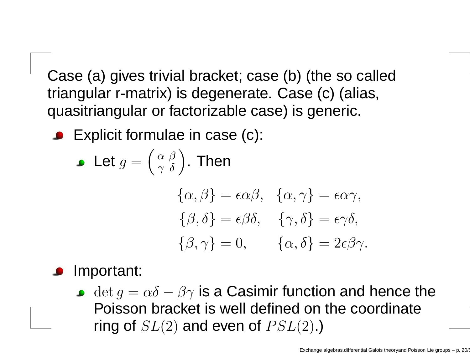Case (a) gives trivial bracket; case (b) (the so called triangular r-matrix) is degenerate. Case (c) (alias, quasitriangular or factorizable case) is generic.

Explicit formulae in case (c):

Let 
$$
g = \begin{pmatrix} \alpha & \beta \\ \gamma & \delta \end{pmatrix}
$$
. Then  
\n
$$
\{\alpha, \beta\} = \epsilon \alpha \beta, \quad \{\alpha, \gamma\} = \epsilon \alpha \gamma,
$$
\n
$$
\{\beta, \delta\} = \epsilon \beta \delta, \quad \{\gamma, \delta\} = \epsilon \gamma \delta,
$$
\n
$$
\{\beta, \gamma\} = 0, \quad \{\alpha, \delta\} = 2\epsilon \beta \gamma.
$$

#### Important:

 $\det g = \alpha \delta$   $\beta\gamma$  is a Casimir function and hence the Poisson bracket is well defined on the coordinatering of  $SL(2)$  and even of  $PSL(2)$ .)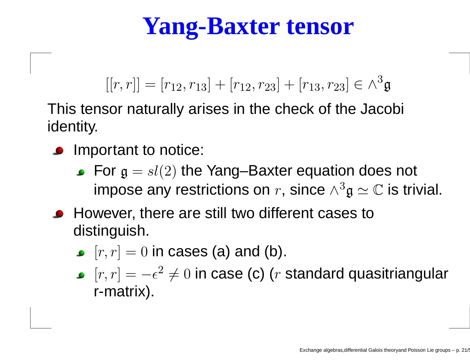# **Yang-Baxter tensor**

 $[[r,r]] = [r_{12}, r_{13}] + [r_{12}, r_{23}] + [r_{13}, r_{23}] \in \wedge^3 \mathfrak{g}$ 

This tensor naturally arises in the check of the Jacobi identity.

- Important to notice:
	- For  $\mathfrak{g}=$  $s(l(2)$  the Yang–Baxter equation does not impose any restrictions on  $r$ , since  $\wedge$  $^3\mathfrak{g}\simeq\mathbb{C}$  is trivial.
- **•** However, there are still two different cases to distinguish.
	- $[r, r]=0$  in cases (a) and (b).
	- $[r,r]=$  $-\epsilon$ 2  $\neq 0$  in case (c) ( $r$  standard quasitriangular r-matrix).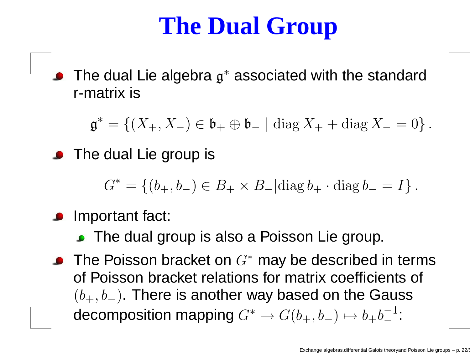# **The Dual Group**

The dual Lie algebra  $\mathfrak{g}^*$  associated with the standard r-matrix is

 $\mathfrak{g}^*=\{(X_+,X_-)\in \mathfrak{b}_+\oplus \mathfrak{b}_-\mid \operatorname{diag}X_++\operatorname{diag}X_-=0\}$  .

• The dual Lie group is

 $G\,$ \* = { $(b_+, b_-) \in B_+ \times B_- | \text{diag } b_+ \cdot \text{diag } b_- = I$  }.

#### Important fact:

- **The dual group is also a Poisson Lie group.**
- The Poisson bracket on  $G$ ∗ may be described in terms of Poisson bracket relations for matrix coefficients of  $(b_+,b_-)$ . There is another way based on the Gauss decomposition mapping  $G$  $* \to G(b_+, b_-) \mapsto b_+ b$ − 1 − :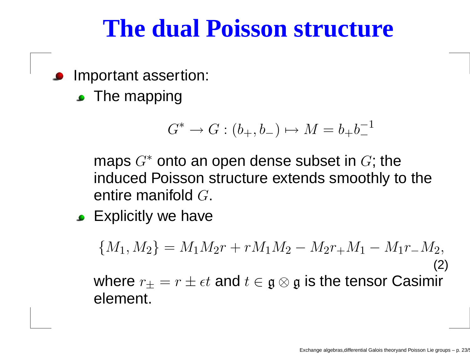# **The dual Poisson structure**

- Important assertion:
	- **The mapping**

$$
G^* \to G : (b_+, b_-) \mapsto M = b_+ b_-^{-1}
$$

maps  $G$  $^\ast$  onto an open dense subset in  $G;$  the induced Poisson structure extends smoothly to the entire manifold  $G.$ 

**Explicitly we have** 

 $\{M_1,M_2\}$  $=M_1M_2r+rM_1M_2$  $-M_2r_+M_1-M_1r_-M_2,$ (2) where  $r_{\pm}=r\pm\epsilon t$  and  $t\in\mathfrak{g}\otimes\mathfrak{g}$  is the tensor Casimir element.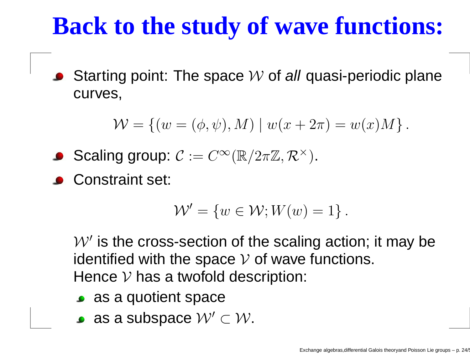# **Back to the study of wave functions:**

Starting point: The space W of *all* quasi-periodic plane curves,

 $\mathcal{W} = \{ (w = (\phi, \psi), M) \mid w(x + 2\pi) = w(x)M \}$  .

- Scaling group:  $\mathcal{C}:=C$  $\infty$  $(\mathbb{R} / 2\pi \mathbb{Z}, \mathcal{R}^{\times})$ ).
- Constraint set:

$$
\mathcal{W}' = \{ w \in \mathcal{W}; W(w) = 1 \}.
$$

 $W'$  is the cross-section of the scaling action; it may be identified with the space  ${\mathcal V}$  of wave functions. Hence  ${\mathcal V}$  has a twofold description:

- as a quotient space
- as a subspace  $\mathcal{W}'\subset \mathcal{W}.$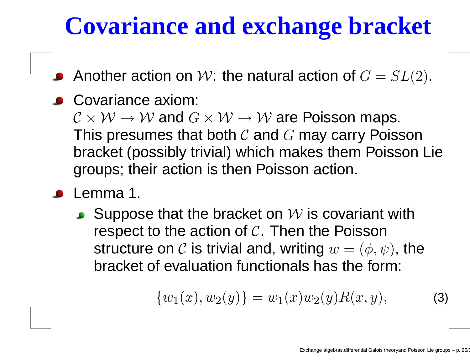# **Covariance and exchange bracket**

- Another action on  $\mathcal W$ : the natural action of  $G=$  $= SL(2)$ .
- **Covariance axiom:**

 $\mathcal{C}\times\mathcal{W}\to\mathcal{W}$  and  $G\times\mathcal{W}\to\mathcal{W}$  are Poisson maps. This presumes that both  ${\cal C}$  and  $G$  may carry Poisson bracket (possibly trivial) which makes them Poisson Lie groups; their action is then Poisson action.

- Lemma 1.
	- Suppose that the bracket on  ${\mathcal W}$  is covariant with respect to the action of  $\mathcal C.$  Then the Poisson structure on  ${\cal C}$  is trivial and, writing  $w=(\phi,\psi)$ , the bracket of evaluation functionals has the form:

<span id="page-24-0"></span>
$$
\{w_1(x), w_2(y)\} = w_1(x)w_2(y)R(x, y),
$$
 (3)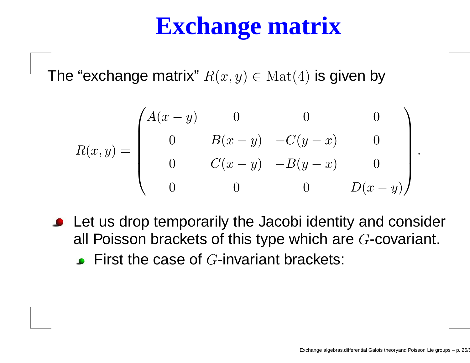# **Exchange matrix**

The "exchange matrix"  $R(x,y)\in \mathrm{Mat}(4)$  is given by

$$
R(x,y) = \begin{pmatrix} A(x-y) & 0 & 0 & 0 \\ 0 & B(x-y) & -C(y-x) & 0 \\ 0 & C(x-y) & -B(y-x) & 0 \\ 0 & 0 & 0 & D(x-y) \end{pmatrix}
$$

- **•** Let us drop temporarily the Jacobi identity and consider all Poisson brackets of this type which are  $G\text{-}\mathbf{covariant}.$ 
	- First the case of  $G$ -invariant brackets: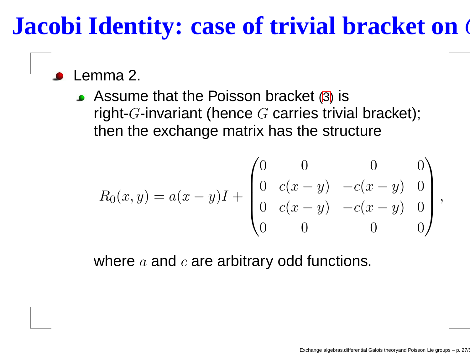# **Jacobi Identity: case of trivial bracket on** G

Lemma 2.

Assume that the Poisson bracket [\(3\)](#page-24-0) is right- $G$ -invariant (hence  $G$  carries trivial bracket); then the exchange matrix has the structure

$$
R_0(x,y) = a(x-y)I + \begin{pmatrix} 0 & 0 & 0 & 0 \\ 0 & c(x-y) & -c(x-y) & 0 \\ 0 & c(x-y) & -c(x-y) & 0 \\ 0 & 0 & 0 & 0 \end{pmatrix},
$$

where  $a$  and  $c$  are arbitrary odd functions.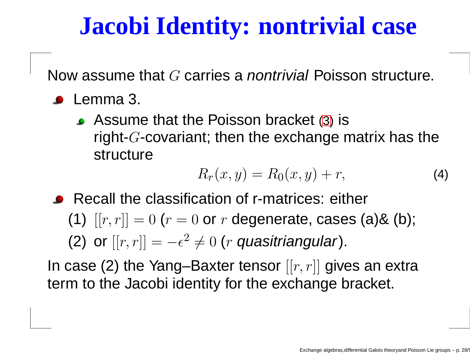# **Jacobi Identity: nontrivial case**

Now assume that G carries a *nontrivial* Poisson structure.

- Lemma 3.
	- Assume that the Poisson bracket [\(3\)](#page-24-0) is right- $G$ -covariant; then the exchange matrix has the structure

$$
R_r(x,y) = R_0(x,y) + r,\t\t(4)
$$

■ Recall the classification of r-matrices: either (1)  $\left[[r,r]\right]=0$   $\left(r=0\text{ or }r\text{ degenerate, cases (a)}\textbf{8}\text{ (b)}\text{;} \right.$ (2) or  $\left[ \left[ r,r\right] \right] =% {\textstyle\bigoplus\limits_{i=1}^{n}} \left[ \left[ \left[ r,r\right] \right] \right] =% {\textstyle\bigoplus\limits_{i=1}^{n}} \left[ \left[ \left[ r,r\right] \right] \right] =% \textstyle\bigoplus\limits_{i=1}^{n}} \left[ \left[ \left[ r,r\right] \right] \right] =% \textstyle\bigoplus\limits_{i=1}^{n}} \left[ \left[ \left[ r,r\right] \right] \right] =% \textstyle\bigoplus\limits_{i=1}^{n}} \left[ \left[ \left[ r,r\right] \right] \right] =% \text$  $-\epsilon$ 2  $\neq 0$  ( $r$  quasitriangular).

<span id="page-27-0"></span>In case (2) the Yang–Baxter tensor  $[[r, r]]$  gives an extra term to the Jacobi identity for the exchange bracket.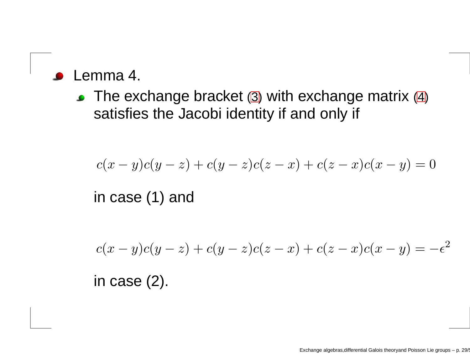#### Lemma 4.

• The exchange bracket ([3](#page-24-0)) with exchange matrix [\(4\)](#page-27-0) satisfies the Jacobi identity if and only if

$$
c(x - y)c(y - z) + c(y - z)c(z - x) + c(z - x)c(x - y) = 0
$$

in case (1) and

 $c(x-y)c(y-z)+c(y-z)c(z-x)+c(z-x)c(x-y)=-\epsilon^2$ in case (2).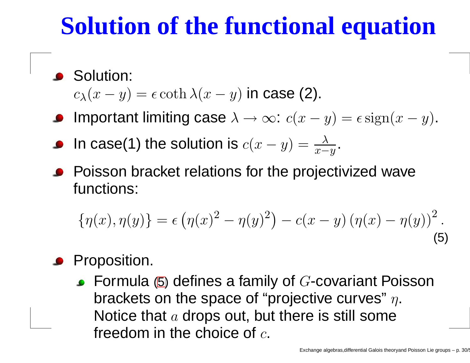# **Solution of the functional equation**

- **Solution:**  $c_{\lambda}(x-y)=\epsilon\coth\lambda(x-y)$  in case (2).
- Important limiting case  $\lambda \to \infty\text{: } c(x-y) = \epsilon \operatorname{sign}(x-y).$
- In case(1) the solution is  $c(x-y)=\frac{\lambda}{x-y}$  $x-y$  .
- Poisson bracket relations for the projectivized wave functions:

$$
\{\eta(x), \eta(y)\} = \epsilon \left(\eta(x)^2 - \eta(y)^2\right) - c(x - y) \left(\eta(x) - \eta(y)\right)^2.
$$
\n(5)

#### Proposition.

<span id="page-29-0"></span>Formula [\(5\)](#page-29-0) defines a family of  $G\text{-}\mathbf{cov}$ ariant Poisson brackets on the space of "projective curves"  $\eta.$ Notice that  $a$  drops out, but there is still some freedom in the choice of  $c_{\cdot}$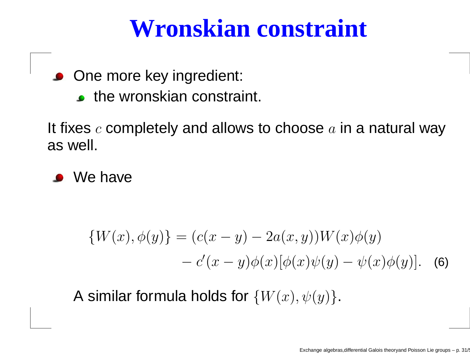# **Wronskian constraint**

- **One more key ingredient:** 
	- **the wronskian constraint.**

It fixes  $c$  completely and allows to choose  $a$  in a natural way as well.

We have

$$
\{W(x), \phi(y)\} = (c(x - y) - 2a(x, y))W(x)\phi(y) - c'(x - y)\phi(x)[\phi(x)\psi(y) - \psi(x)\phi(y)].
$$
 (6)

<span id="page-30-0"></span>A similar formula holds for  $\{W(x),\psi(y)\}$ .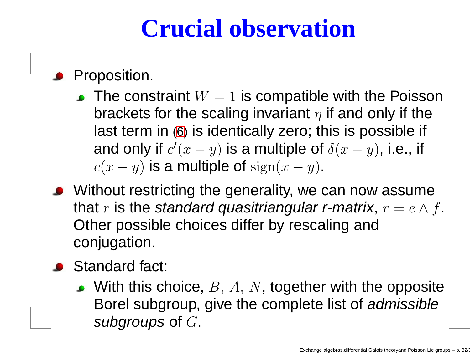# **Crucial observation**

Proposition.

- The constraint  $W=1$  is compatible with the Poisson brackets for the scaling invariant  $\eta$  if and only if the last term in [\(6\)](#page-30-0) is identically zero; this is possible if and only if  $c'(x-y)$  is a multiple of  $\delta(x-y)$ , i.e., if  $c(x-y)$  is a multiple of  $\text{sign}(x-y)$ .
- Without restricting the generality, we can now assume that r is the *standard quasitriangular r-matrix*, <sup>r</sup>  $= e \wedge f$  . Other possible choices differ by rescaling and conjugation.
- **Standard fact:** 
	- $\bullet$  With this choice,  $B, A, N$ , together with the opposite Borel subgroup, give the complete list of *admissible subgroups* of G.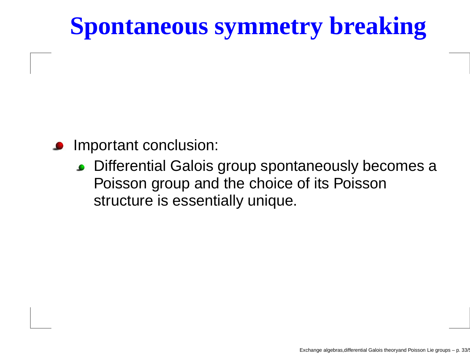# **Spontaneous symmetry breaking**

- Important conclusion:
	- **Differential Galois group spontaneously becomes a** Poisson group and the choice of its Poisson structure is essentially unique.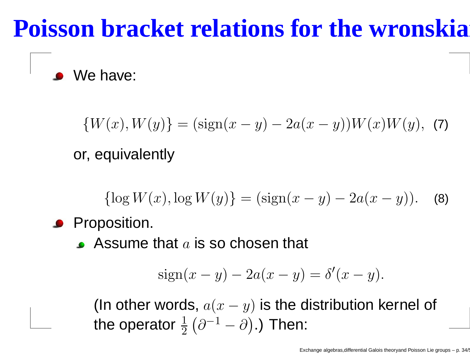# **Poisson bracket relations for the wronskian**

We have:

 $\{W(x), W(y)\} = (\text{sign}(x - y))$  $-2a(x-y))W(x)W(y),$  (7)

or, equivalently

 $\{\log W(x), \log W(y)\} = (\text{sign}(x-y))$  $-2a(x-y)$ ). (8) Proposition.

Assume that  $a$  is so chosen that

$$
sign(x - y) - 2a(x - y) = \delta'(x - y).
$$

(In other words,  $a(x-y)$  is the distribution kernel of the operator  $\frac{1}{2}\,(\partial$  $^{-1}-\partial ).$ ) Then: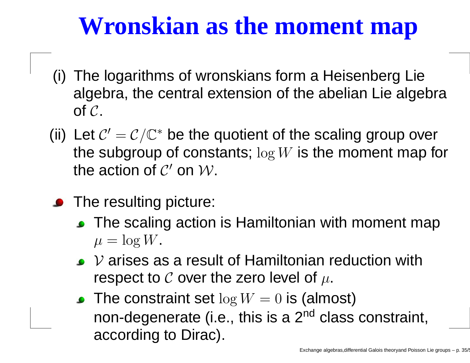# **Wronskian as the moment map**

- (i) The logarithms of wronskians form <sup>a</sup> Heisenberg Lie algebra, the central extension of the abelian Lie algebra of C.
- (ii) Let  $\mathcal{C}'=\mathcal{C}/\mathbb{C}$ ∗ be the quotient of the scaling group over the subgroup of constants;  $\log W$  is the moment map for the action of  $\mathcal{C}'$  on  $\mathcal{W}.$
- The resulting picture:
	- The scaling action is Hamiltonian with moment map  $\mu = \log W$  .
	- $\bullet\,$  V arises as a result of Hamiltonian reduction with respect to  ${\cal C}$  over the zero level of  $\mu.$
	- The constraint set  $\log W=0$  is (almost) non-degenerate (i.e., this is a  $2<sup>nd</sup>$  class constraint, according to Dirac).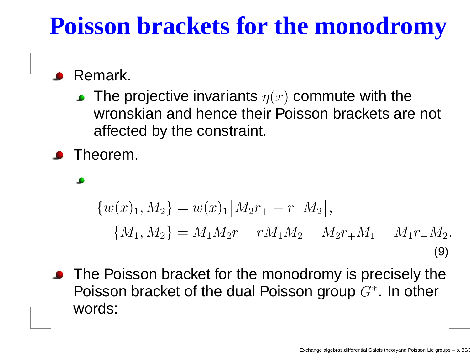# **Poisson brackets for the monodromy**

- Remark.
	- The projective invariants  $\eta(x)$  commute with the wronskian and hence their Poisson brackets are not affected by the constraint.
- Theorem.

#### $\{w(x)_1, M_2\}$  $=w(x) _1 \big[ M_2 r_+ - r_- M_2 \big],$  $\big]$  $\{M_1,M_2\}$  $=M_1M_2r+rM_1M_2$  $- M_2 r_+ M_1$  $- M_1 r_- M_2.$ (9)

<span id="page-35-0"></span>The Poisson bracket for the monodromy is precisely the Poisson bracket of the dual Poisson group  $G$ ∗. In other words: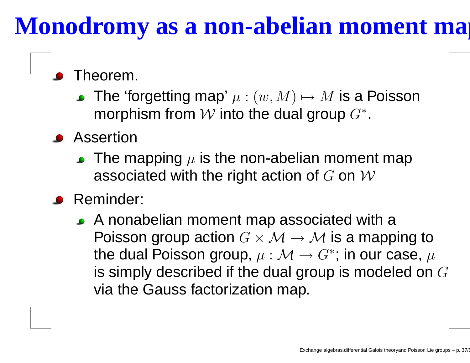# **Monodromy as <sup>a</sup> non-abelian moment map**

#### Theorem.

- The 'forgetting map'  $\mu: (w,M) \mapsto M$  is a Poisson morphism from  ${\mathcal W}$  into the dual group  $G$ ∗.
- **Assertion** 
	- The mapping  $\mu$  is the non-abelian moment map associated with the right action of  $G$  on  ${\mathcal W}$
- **Reminder:** 
	- A nonabelian moment map associated with <sup>a</sup> Poisson group action  $G\times\mathcal{M}\rightarrow\mathcal{M}$  is a mapping to the dual Poisson group,  $\mu:\mathcal{M}\to G^*;$  in our case,  $\mu$ is simply described if the dual group is modeled on  $G$ via the Gauss factorization map.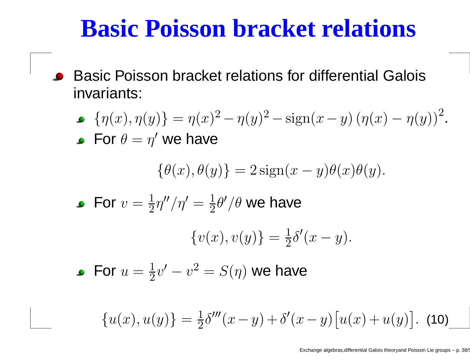# **Basic Poisson bracket relations**

Basic Poisson bracket relations for differential Galois invariants:

• 
$$
\{\eta(x), \eta(y)\} = \eta(x)^2 - \eta(y)^2 - \text{sign}(x - y) (\eta(x) - \eta(y))^2
$$

• For 
$$
\theta = \eta'
$$
 we have

$$
\{\theta(x), \theta(y)\} = 2\operatorname{sign}(x-y)\theta(x)\theta(y).
$$

• For 
$$
v = \frac{1}{2}\eta''/\eta' = \frac{1}{2}\theta'/\theta
$$
 we have

$$
\{v(x), v(y)\} = \frac{1}{2}\delta'(x-y).
$$

For  $u=\,$  $\frac{1}{2}$  $v'-v$  $^2=S(\eta)$  we have

> <span id="page-37-0"></span> $\{u(x),u(y)\}\$ =  $\frac{1}{2}$  $\delta'''(x-y)+\delta'(x-y)$  $\left|u(x)+u(y)\right|$ . (10)  $\lceil$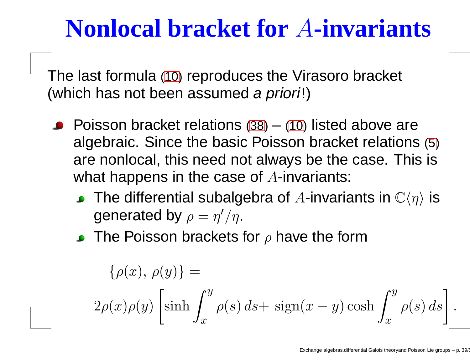# **Nonlocal bracket for** A**-invariants**

The last formula ([10\)](#page-37-0) reproduces the Virasoro bracket (which has not been assumed *<sup>a</sup> priori*!)

- Poisson bracket relations ([38\)](#page-35-0) – ([10\)](#page-37-0) listed above are algebraic. Since the basic Poisson bracket relations [\(5\)](#page-29-0) are nonlocal, this need not always be the case. This is what happens in the case of  $A$ -invariants:
	- The differential subalgebra of  $A$ -invariants in  $\mathbb{C}\langle\eta\rangle$  is generated by  $\rho=\eta'/\eta.$
	- The Poisson brackets for  $\rho$  have the form

$$
\{\rho(x), \rho(y)\} =
$$
  
 
$$
2\rho(x)\rho(y) \left[\sinh \int_x^y \rho(s) ds + \operatorname{sign}(x - y) \cosh \int_x^y \rho(s) ds\right].
$$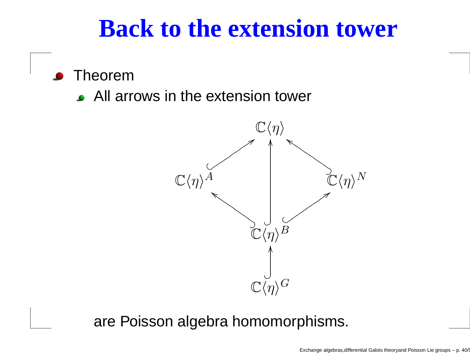### **Back to the extension tower**

Theorem

**All arrows in the extension tower** 



are Poisson algebra homomorphisms.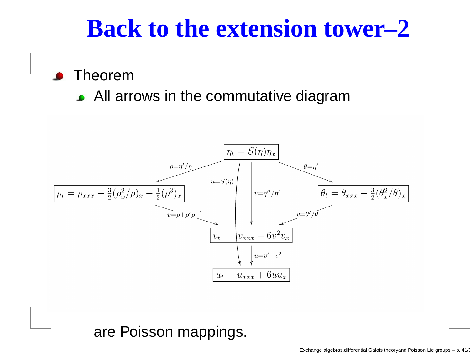### **Back to the extension tower–2**

Theorem

• All arrows in the commutative diagram



are Poisson mappings.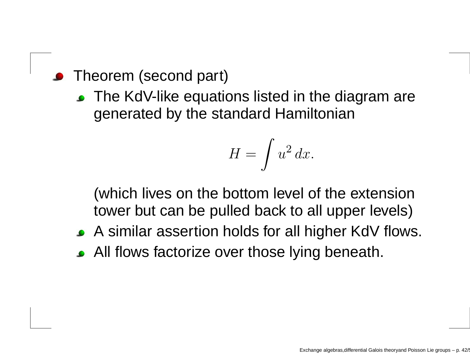- Theorem (second part)
	- The KdV-like equations listed in the diagram are generated by the standard Hamiltonian

$$
H = \int u^2 dx.
$$

(which lives on the bottom level of the extension tower but can be pulled back to all upper levels)

- A similar assertion holds for all higher KdV flows.
- **All flows factorize over those lying beneath.**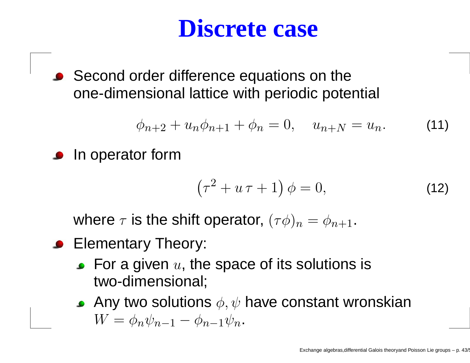# **Discrete case**

■ Second order difference equations on the one-dimensional lattice with periodic potential

$$
\phi_{n+2} + u_n \phi_{n+1} + \phi_n = 0, \quad u_{n+N} = u_n. \tag{11}
$$

In operator form

$$
\left(\tau^2 + u\,\tau + 1\right)\phi = 0,\tag{12}
$$

where  $\tau$  is the shift operator,  $(\tau \phi)_n = \phi_{n+1}.$ 

- <span id="page-42-1"></span><span id="page-42-0"></span>**Commentary Theory:** 
	- For a given  $u$ , the space of its solutions is two-dimensional;
	- Any two solutions  $\phi, \psi$  have constant wronskian  $W = \phi_n \psi_{n-1} - \phi_{n-1} \psi_n.$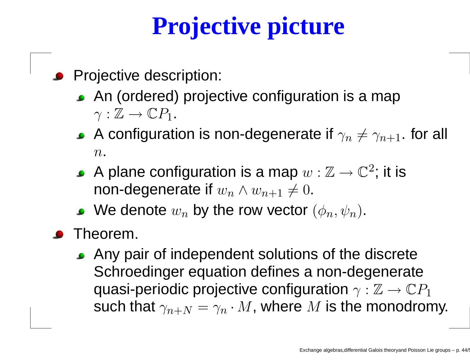# **Projective picture**

- Projective description:
	- An (ordered) projective configuration is <sup>a</sup> map  $\gamma:\mathbb{Z}\rightarrow \mathbb{C}P_1$  .
	- A configuration is non-degenerate if  $\gamma_n\neq\gamma_{n+1}.$  for all  $n_{\blacksquare}$
	- A plane configuration is a map  $w: \mathbb{Z} \rightarrow \mathbb{C}^2;$  it is non-degenerate if  $w_n \wedge w_{n+1} \neq 0.$
	- We denote  $w_n$  by the row vector  $(\phi_n,\psi_n)$ .
- Theorem.
	- Any pair of independent solutions of the discrete Schroedinger equation defines <sup>a</sup> non-degenerate quasi-periodic projective configuration  $\gamma: \mathbb{Z} \rightarrow \mathbb{C} P_1$ such that  $\gamma_{n+N}=\gamma_n\cdot M$ , where  $M$  is the monodromy.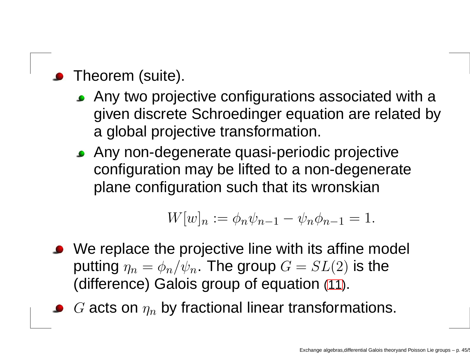- Theorem (suite).
	- Any two projective configurations associated with <sup>a</sup> given discrete Schroedinger equation are related by <sup>a</sup> global projective transformation.
	- Any non-degenerate quasi-periodic projective configuration may be lifted to <sup>a</sup> non-degenerate plane configuration such that its wronskian

$$
W[w]_n := \phi_n \psi_{n-1} - \psi_n \phi_{n-1} = 1.
$$

- We replace the projective line with its affine model putting  $\eta_n = \phi_n / \psi_n$ . The group  $G = SL(2)$  is the (difference) Galois group of equation ([11](#page-42-0)).
	- $G$  acts on  $\eta_n$  by fractional linear transformations.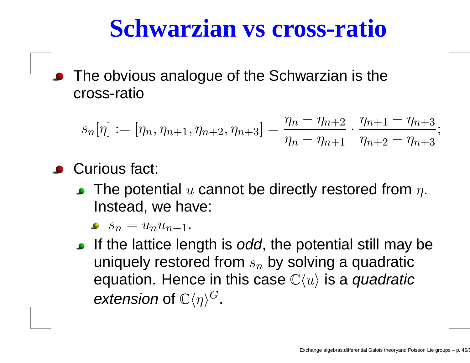# **Schwarzian vs cross-ratio**

The obvious analogue of the Schwarzian is the cross-ratio

$$
s_n[\eta] := [\eta_n, \eta_{n+1}, \eta_{n+2}, \eta_{n+3}] = \frac{\eta_n - \eta_{n+2}}{\eta_n - \eta_{n+1}} \cdot \frac{\eta_{n+1} - \eta_{n+3}}{\eta_{n+2} - \eta_{n+3}};
$$

- **Curious fact:** 
	- The potential  $u$  cannot be directly restored from  $\eta.$ Instead, we have:

 $s_n=u_nu_{n+1}$ .

If the lattice length is *odd*, the potential still may be uniquely restored from  $s_n$  by solving a quadratic equation. Hence in this case  $\mathbb{C}\langle u \rangle$  is a *quadratic* extension of  $\mathbb{C}\langle \eta \rangle^{G}$ .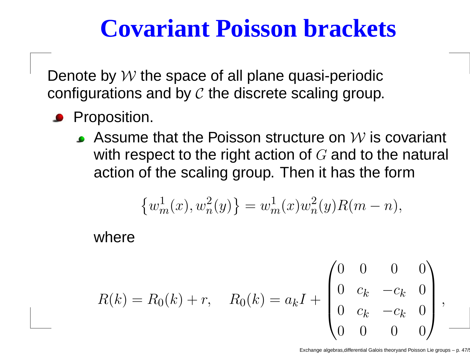# **Covariant Poisson brackets**

Denote by  ${\cal W}$  the space of all plane quasi-periodic configurations and by  ${\cal C}$  the discrete scaling group.

#### Proposition.

Assume that the Poisson structure on  ${\mathcal W}$  is covariant with respect to the right action of  $G$  and to the natural action of the scaling group. Then it has the form

$$
\{w_m^1(x), w_n^2(y)\} = w_m^1(x)w_n^2(y)R(m - n),
$$

where

$$
R(k) = R_0(k) + r, \quad R_0(k) = a_k I + \begin{pmatrix} 0 & 0 & 0 & 0 \\ 0 & c_k & -c_k & 0 \\ 0 & c_k & -c_k & 0 \\ 0 & 0 & 0 & 0 \end{pmatrix},
$$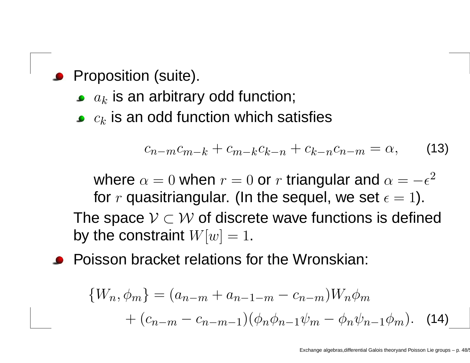- Proposition (suite).
	- $a_k$  is an arbitrary odd function;
	- $c_k$  is an odd function which satisfies

$$
c_{n-m}c_{m-k} + c_{m-k}c_{k-n} + c_{k-n}c_{n-m} = \alpha, \qquad (13)
$$

where  $\alpha=0$  when  $r=0$  or  $r$  triangular and  $\alpha=-\epsilon^2$ for  $r$  quasitriangular. (In the sequel, we set  $\epsilon=1$ ). The space  $V\subset W$  of discrete wave functions is defined by the constraint  $W[w]=1$ .

Poisson bracket relations for the Wronskian:

<span id="page-47-0"></span>
$$
\{W_n, \phi_m\} = (a_{n-m} + a_{n-1-m} - c_{n-m})W_n \phi_m + (c_{n-m} - c_{n-m-1})(\phi_n \phi_{n-1} \psi_m - \phi_n \psi_{n-1} \phi_m).
$$
 (14)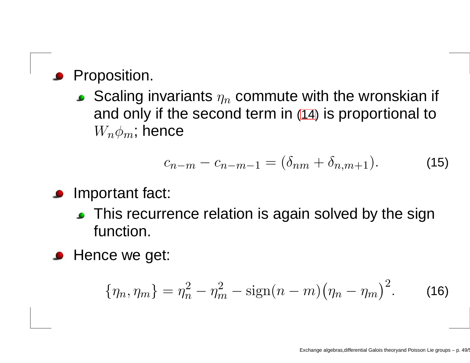#### Proposition.

Scaling invariants  $\eta_n$  commute with the wronskian if and only if the second term in ([14\)](#page-47-0) is proportional to  $W_n \phi_m$ ; hence

$$
c_{n-m} - c_{n-m-1} = (\delta_{nm} + \delta_{n,m+1}). \tag{15}
$$

- Important fact:
	- **This recurrence relation is again solved by the sign** function.
- Hence we get:

$$
\{\eta_n, \eta_m\} = \eta_n^2 - \eta_m^2 - \text{sign}(n-m)\big(\eta_n - \eta_m\big)^2. \tag{16}
$$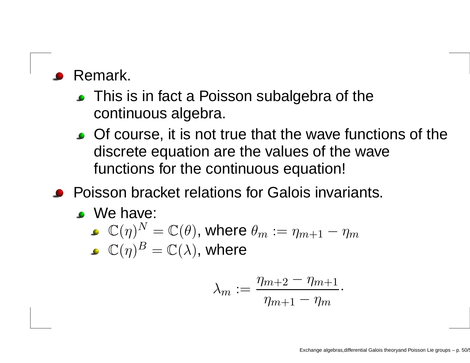#### Remark.

- **This is in fact a Poisson subalgebra of the** continuous algebra.
- Of course, it is not true that the wave functions of the discrete equation are the values of the wave functions for the continuous equation!
- **Poisson bracket relations for Galois invariants.** 
	- We have:
		- $\mathbb{C}(\eta)^N = \mathbb{C}(\theta)$ , where  $\theta_m := \eta_{m+1} \eta_m$  $\mathbb{C}(\eta)^B = \mathbb{C}(\lambda)$ , where

$$
\lambda_m := \frac{\eta_{m+2} - \eta_{m+1}}{\eta_{m+1} - \eta_m}.
$$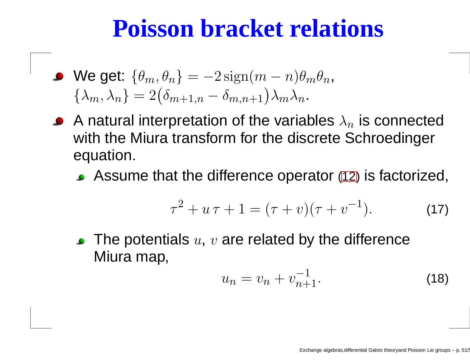# **Poisson bracket relations**

• We get: 
$$
\{\theta_m, \theta_n\} = -2 \operatorname{sign}(m - n)\theta_m \theta_n
$$
,  
 $\{\lambda_m, \lambda_n\} = 2(\delta_{m+1,n} - \delta_{m,n+1})\lambda_m \lambda_n$ .

- A natural interpretation of the variables  $\lambda_n$  is connected with the Miura transform for the discrete Schroedinger equation.
	- Assume that the difference operator [\(12\)](#page-42-1) is factorized,

$$
\tau^2 + u\,\tau + 1 = (\tau + v)(\tau + v^{-1}).\tag{17}
$$

The potentials  $u,\,v$  are related by the difference Miura map,

$$
u_n = v_n + v_{n+1}^{-1}.
$$
 (18)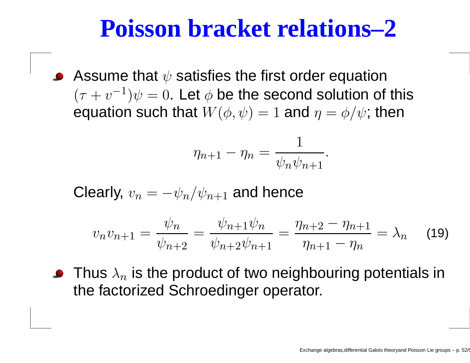### **Poisson bracket relations–2**

Assume that  $\psi$  satisfies the first order equation  $(\tau + v$ − 1  $)\psi=0.$  Let  $\phi$  be the second solution of this equation such that  $W(\phi,\psi)=1$  and  $\eta=$  $=\phi/\psi$ ; then

$$
\eta_{n+1} - \eta_n = \frac{1}{\psi_n \psi_{n+1}}.
$$

Clearly,  $v_n=-\psi_n/\psi_{n+1}$  and hence

$$
v_n v_{n+1} = \frac{\psi_n}{\psi_{n+2}} = \frac{\psi_{n+1} \psi_n}{\psi_{n+2} \psi_{n+1}} = \frac{\eta_{n+2} - \eta_{n+1}}{\eta_{n+1} - \eta_n} = \lambda_n \tag{19}
$$

Thus  $\lambda_n$  is the product of two neighbouring potentials in the factorized Schroedinger operator.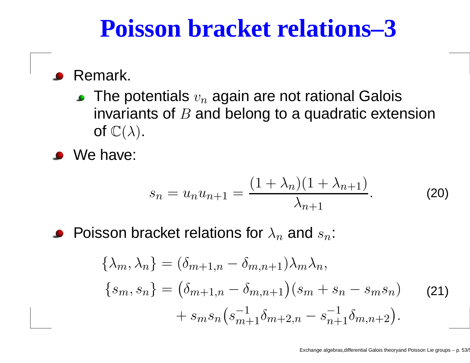# **Poisson bracket relations–3**

- Remark.
	- The potentials  $v_n$  again are not rational Galois invariants of  $B$  and belong to a quadratic extension of  $\mathbb{C}(\lambda).$

We have:

$$
s_n = u_n u_{n+1} = \frac{(1 + \lambda_n)(1 + \lambda_{n+1})}{\lambda_{n+1}}.
$$
 (20)

Poisson bracket relations for  $\lambda_n$  and  $s_n$ :

<span id="page-52-0"></span>
$$
\{\lambda_m, \lambda_n\} = (\delta_{m+1,n} - \delta_{m,n+1})\lambda_m \lambda_n, \n\{s_m, s_n\} = (\delta_{m+1,n} - \delta_{m,n+1})(s_m + s_n - s_m s_n) \qquad (21)\n+ s_m s_n (s_{m+1}^{-1} \delta_{m+2,n} - s_{n+1}^{-1} \delta_{m,n+2}).
$$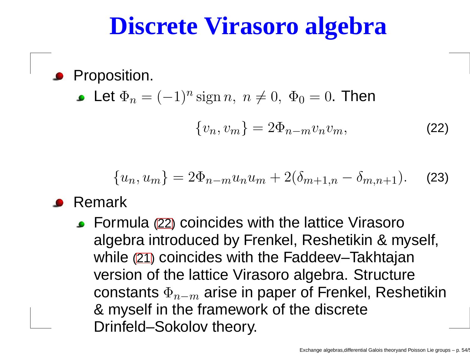# **Discrete Virasoro algebra**

Proposition. Let  $\Phi_n = (-1)^n \operatorname{sign} n, \; n \neq 0, \; \Phi_0 = 0.$  Then  $\{v_n,v_m\}=2\Phi_{n-m}v_nv$ <sup>m</sup>, (22)

$$
\{u_n, u_m\} = 2\Phi_{n-m}u_nu_m + 2(\delta_{m+1,n} - \delta_{m,n+1}).
$$
 (23)

- <span id="page-53-0"></span>Remark
	- Formula [\(22](#page-53-0)) coincides with the lattice Virasoro algebra introduced by Frenkel, Reshetikin & myself, while ([21\)](#page-52-0) coincides with the Faddeev–Takhtajan version of the lattice Virasoro algebra. Structure constants  $\Phi_{n-m}$  arise in paper of Frenkel, Reshetikin & myself in the framework of the discrete Drinfeld–Sokolov theory.